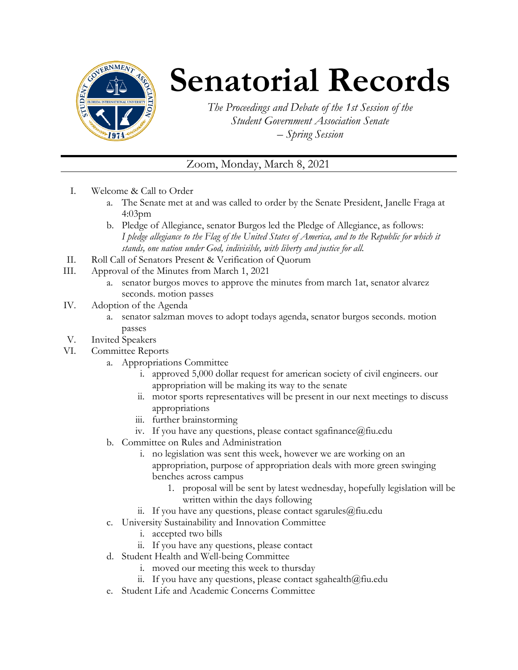

## **Senatorial Records**

*The Proceedings and Debate of the 1st Session of the Student Government Association Senate – Spring Session*

## Zoom, Monday, March 8, 2021

- I. Welcome & Call to Order
	- a. The Senate met at and was called to order by the Senate President, Janelle Fraga at 4:03pm
	- b. Pledge of Allegiance, senator Burgos led the Pledge of Allegiance, as follows: *I pledge allegiance to the Flag of the United States of America, and to the Republic for which it stands, one nation under God, indivisible, with liberty and justice for all.*
- II. Roll Call of Senators Present & Verification of Quorum
- III. Approval of the Minutes from March 1, 2021
	- a. senator burgos moves to approve the minutes from march 1at, senator alvarez seconds. motion passes
- IV. Adoption of the Agenda
	- a. senator salzman moves to adopt todays agenda, senator burgos seconds. motion passes
- V. Invited Speakers
- VI. Committee Reports
	- a. Appropriations Committee
		- i. approved 5,000 dollar request for american society of civil engineers. our appropriation will be making its way to the senate
		- ii. motor sports representatives will be present in our next meetings to discuss appropriations
		- iii. further brainstorming
		- iv. If you have any questions, please contact sgafinance  $@$  fiu.edu
	- b. Committee on Rules and Administration
		- i. no legislation was sent this week, however we are working on an appropriation, purpose of appropriation deals with more green swinging benches across campus
			- 1. proposal will be sent by latest wednesday, hopefully legislation will be written within the days following
		- ii. If you have any questions, please contact sgarules  $@$  fiu.edu
	- c. University Sustainability and Innovation Committee
		- i. accepted two bills
		- ii. If you have any questions, please contact
	- d. Student Health and Well-being Committee
		- i. moved our meeting this week to thursday
		- ii. If you have any questions, please contact sgahealth $@$ fiu.edu
	- e. Student Life and Academic Concerns Committee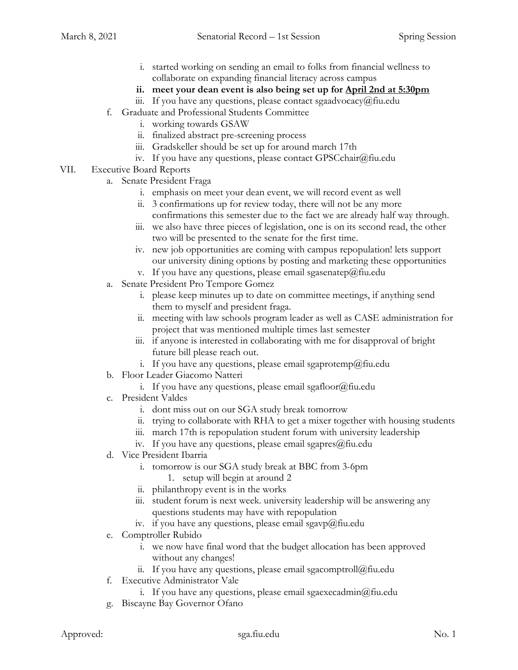- i. started working on sending an email to folks from financial wellness to collaborate on expanding financial literacy across campus
- **ii. meet your dean event is also being set up for April 2nd at 5:30pm**
- iii. If you have any questions, please contact sgaadvocacy@fiu.edu
- f. Graduate and Professional Students Committee
	- i. working towards GSAW
	- ii. finalized abstract pre-screening process
	- iii. Gradskeller should be set up for around march 17th
	- iv. If you have any questions, please contact GPSCchair@fiu.edu
- VII. Executive Board Reports
	- a. Senate President Fraga
		- i. emphasis on meet your dean event, we will record event as well
		- ii. 3 confirmations up for review today, there will not be any more confirmations this semester due to the fact we are already half way through.
		- iii. we also have three pieces of legislation, one is on its second read, the other two will be presented to the senate for the first time.
		- iv. new job opportunities are coming with campus repopulation! lets support our university dining options by posting and marketing these opportunities
		- v. If you have any questions, please email sgasenatep@fiu.edu
	- a. Senate President Pro Tempore Gomez
		- i. please keep minutes up to date on committee meetings, if anything send them to myself and president fraga.
		- ii. meeting with law schools program leader as well as CASE administration for project that was mentioned multiple times last semester
		- iii. if anyone is interested in collaborating with me for disapproval of bright future bill please reach out.
		- i. If you have any questions, please email sgaprotemp@fiu.edu
	- b. Floor Leader Giacomo Natteri
		- i. If you have any questions, please email sgafloor@fiu.edu
	- c. President Valdes
		- i. dont miss out on our SGA study break tomorrow
		- ii. trying to collaborate with RHA to get a mixer together with housing students
		- iii. march 17th is repopulation student forum with university leadership
		- iv. If you have any questions, please email sgapres $@$ fiu.edu
	- d. Vice President Ibarria
		- i. tomorrow is our SGA study break at BBC from 3-6pm
			- 1. setup will begin at around 2
		- ii. philanthropy event is in the works
		- iii. student forum is next week. university leadership will be answering any questions students may have with repopulation
		- iv. if you have any questions, please email sgavp@fiu.edu
	- e. Comptroller Rubido
		- i. we now have final word that the budget allocation has been approved without any changes!
		- ii. If you have any questions, please email sgacomptroll $@$ fiu.edu
	- f. Executive Administrator Vale
		- i. If you have any questions, please email sgaexecadmin $@$ fiu.edu
	- g. Biscayne Bay Governor Ofano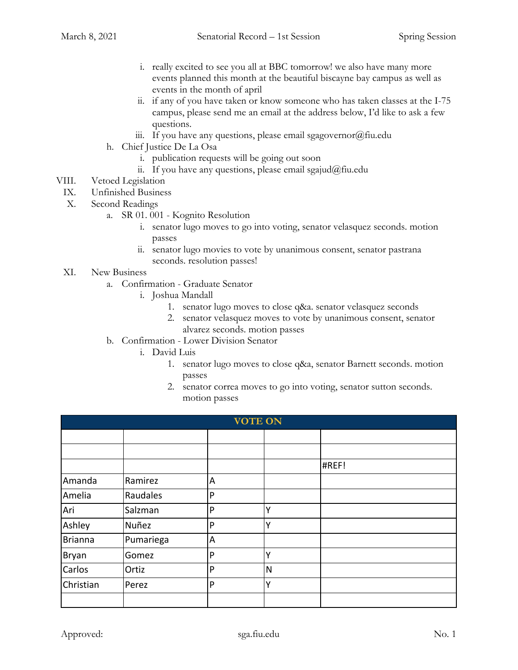- i. really excited to see you all at BBC tomorrow! we also have many more events planned this month at the beautiful biscayne bay campus as well as events in the month of april
- ii. if any of you have taken or know someone who has taken classes at the I-75 campus, please send me an email at the address below, I'd like to ask a few questions.
- iii. If you have any questions, please email sgagovernor@fiu.edu
- h. Chief Justice De La Osa
	- i. publication requests will be going out soon
	- ii. If you have any questions, please email sgajud@fiu.edu
- VIII. Vetoed Legislation
	- IX. Unfinished Business
	- X. Second Readings
		- a. SR 01. 001 Kognito Resolution
			- i. senator lugo moves to go into voting, senator velasquez seconds. motion passes
			- ii. senator lugo movies to vote by unanimous consent, senator pastrana seconds. resolution passes!
	- XI. New Business
		- a. Confirmation Graduate Senator
			- i. Joshua Mandall
				- 1. senator lugo moves to close q&a. senator velasquez seconds
				- 2. senator velasquez moves to vote by unanimous consent, senator alvarez seconds. motion passes
		- b. Confirmation Lower Division Senator
			- i. David Luis
				- 1. senator lugo moves to close q&a, senator Barnett seconds. motion passes
				- 2. senator correa moves to go into voting, senator sutton seconds. motion passes

| <b>VOTE ON</b> |           |   |   |       |  |  |
|----------------|-----------|---|---|-------|--|--|
|                |           |   |   |       |  |  |
|                |           |   |   |       |  |  |
|                |           |   |   | #REF! |  |  |
| Amanda         | Ramirez   | A |   |       |  |  |
| Amelia         | Raudales  | P |   |       |  |  |
| Ari            | Salzman   | P | Y |       |  |  |
| Ashley         | Nuñez     | P | Υ |       |  |  |
| <b>Brianna</b> | Pumariega | A |   |       |  |  |
| Bryan          | Gomez     | P | v |       |  |  |
| Carlos         | Ortiz     | P | N |       |  |  |
| Christian      | Perez     | P | Υ |       |  |  |
|                |           |   |   |       |  |  |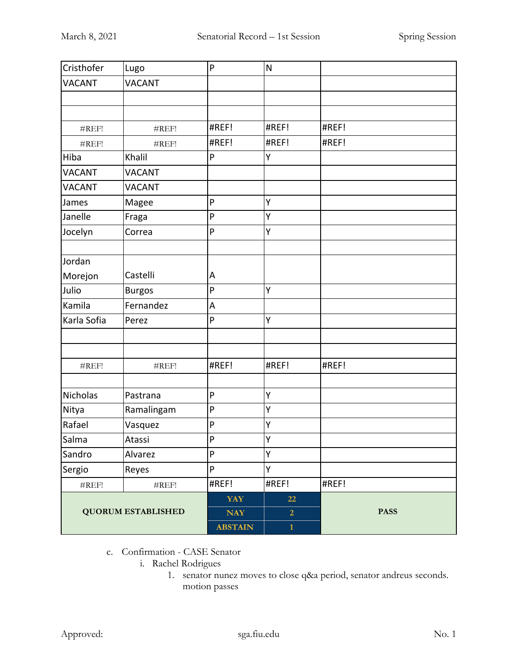| Cristhofer                | Lugo              | P              | $\mathsf{N}$   |             |
|---------------------------|-------------------|----------------|----------------|-------------|
| <b>VACANT</b>             | <b>VACANT</b>     |                |                |             |
|                           |                   |                |                |             |
|                           |                   |                |                |             |
| #REF!                     | #REF!             | #REF!          | #REF!          | #REF!       |
| #REF!                     | #REF!             | #REF!          | #REF!          | #REF!       |
| Hiba                      | Khalil            | P              | Υ              |             |
| <b>VACANT</b>             | <b>VACANT</b>     |                |                |             |
| <b>VACANT</b>             | <b>VACANT</b>     |                |                |             |
| James                     | Magee             | P              | Υ              |             |
| Janelle                   | Fraga             | P              | Υ              |             |
| Jocelyn                   | Correa            | P              | Υ              |             |
|                           |                   |                |                |             |
| Jordan                    |                   |                |                |             |
| Morejon                   | Castelli          | Α              |                |             |
| Julio                     | <b>Burgos</b>     | ${\sf P}$      | Υ              |             |
| Kamila                    | Fernandez         | A              |                |             |
| Karla Sofia               | Perez             | P              | Υ              |             |
|                           |                   |                |                |             |
|                           |                   |                |                |             |
| #REF!                     | #REF!             | #REF!          | #REF!          | #REF!       |
|                           |                   |                |                |             |
| Nicholas                  | Pastrana          | P              | Υ              |             |
| Nitya                     | Ramalingam        | P              | Υ              |             |
| Rafael                    | Vasquez           | P              | Υ              |             |
| Salma                     | Atassi            | $\mathsf{P}$   | Y              |             |
| Sandro                    | Alvarez           | ${\sf P}$      | Υ              |             |
| Sergio                    | Reyes             | ${\sf P}$      | Υ              |             |
| $\#\mathrm{REF}!$         | $\#\mathrm{REF}!$ | #REF!          | #REF!          | #REF!       |
| <b>QUORUM ESTABLISHED</b> |                   | <b>YAY</b>     | 22             |             |
|                           |                   | <b>NAY</b>     | $\overline{2}$ | <b>PASS</b> |
|                           |                   | <b>ABSTAIN</b> | $\mathbf{1}$   |             |

- c. Confirmation CASE Senator
	- i. Rachel Rodrigues
		- 1. senator nunez moves to close q&a period, senator andreus seconds. motion passes